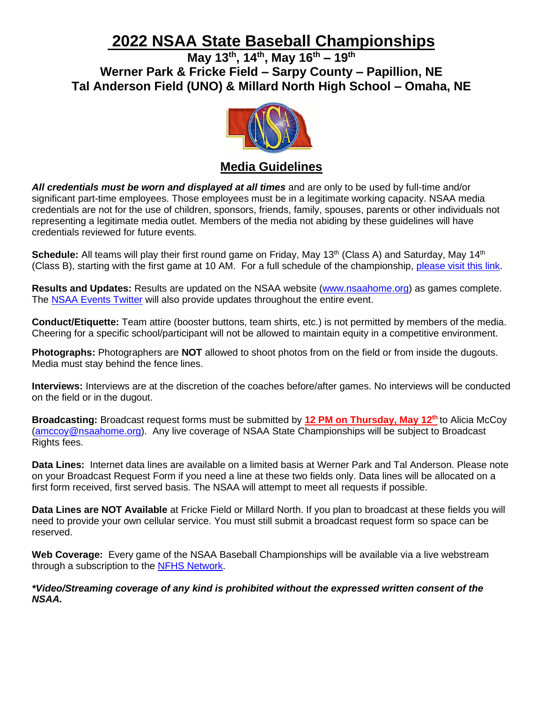# **2022 NSAA State Baseball Championships**

**May 13th , 14 th , May 16 th – 19th Werner Park & Fricke Field – Sarpy County – Papillion, NE Tal Anderson Field (UNO) & Millard North High School – Omaha, NE**



# **Media Guidelines**

*All credentials must be worn and displayed at all times* and are only to be used by full-time and/or significant part-time employees. Those employees must be in a legitimate working capacity. NSAA media credentials are not for the use of children, sponsors, friends, family, spouses, parents or other individuals not representing a legitimate media outlet. Members of the media not abiding by these guidelines will have credentials reviewed for future events.

Schedule: All teams will play their first round game on Friday, May 13<sup>th</sup> (Class A) and Saturday, May 14<sup>th</sup> (Class B), starting with the first game at 10 AM. For a full schedule of the championship, [please visit this link.](https://docs.google.com/spreadsheets/d/1PfNp9Sga1Cm54tWe6_RIUftDGZSP3rXOStd8VOzp1BU/edit#gid=1457798249)

**Results and Updates:** Results are updated on the NSAA website [\(www.nsaahome.org\)](http://www.nsaahome.org/) as games complete. The [NSAA Events Twitter](http://www.twitter.com/nsaaevents) will also provide updates throughout the entire event.

**Conduct/Etiquette:** Team attire (booster buttons, team shirts, etc.) is not permitted by members of the media. Cheering for a specific school/participant will not be allowed to maintain equity in a competitive environment.

**Photographs:** Photographers are **NOT** allowed to shoot photos from on the field or from inside the dugouts. Media must stay behind the fence lines.

**Interviews:** Interviews are at the discretion of the coaches before/after games. No interviews will be conducted on the field or in the dugout.

**Broadcasting:** Broadcast request forms must be submitted by **12 PM on Thursday, May 12 th** to Alicia McCoy [\(amccoy@nsaahome.org\)](mailto:amccoy@nsaahome.org). Any live coverage of NSAA State Championships will be subject to Broadcast Rights fees.

**Data Lines:** Internet data lines are available on a limited basis at Werner Park and Tal Anderson. Please note on your Broadcast Request Form if you need a line at these two fields only. Data lines will be allocated on a first form received, first served basis. The NSAA will attempt to meet all requests if possible.

**Data Lines are NOT Available** at Fricke Field or Millard North. If you plan to broadcast at these fields you will need to provide your own cellular service. You must still submit a broadcast request form so space can be reserved.

**Web Coverage:** Every game of the NSAA Baseball Championships will be available via a live webstream through a subscription to the [NFHS Network.](http://www.nfhsnetwork.com/channels/nebraska)

*\*Video/Streaming coverage of any kind is prohibited without the expressed written consent of the NSAA.*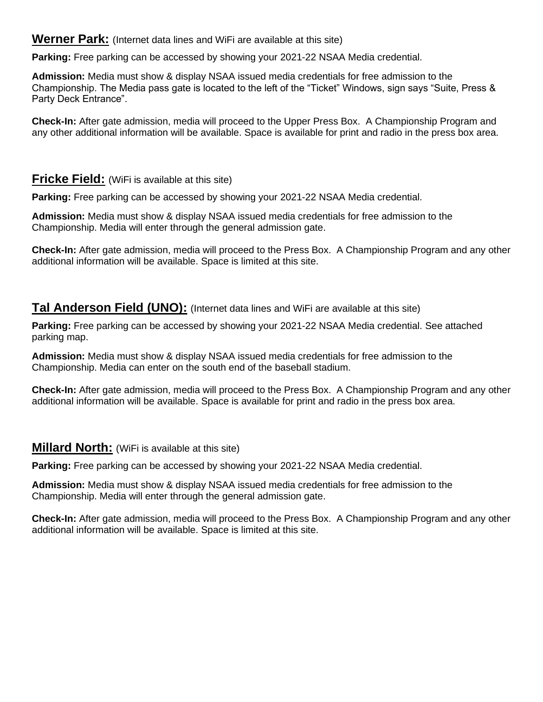#### **Werner Park:** (Internet data lines and WiFi are available at this site)

**Parking:** Free parking can be accessed by showing your 2021-22 NSAA Media credential.

**Admission:** Media must show & display NSAA issued media credentials for free admission to the Championship. The Media pass gate is located to the left of the "Ticket" Windows, sign says "Suite, Press & Party Deck Entrance".

**Check-In:** After gate admission, media will proceed to the Upper Press Box. A Championship Program and any other additional information will be available. Space is available for print and radio in the press box area.

## **Fricke Field:** (WiFi is available at this site)

**Parking:** Free parking can be accessed by showing your 2021-22 NSAA Media credential.

**Admission:** Media must show & display NSAA issued media credentials for free admission to the Championship. Media will enter through the general admission gate.

**Check-In:** After gate admission, media will proceed to the Press Box. A Championship Program and any other additional information will be available. Space is limited at this site.

### **Tal Anderson Field (UNO):** (Internet data lines and WiFi are available at this site)

**Parking:** Free parking can be accessed by showing your 2021-22 NSAA Media credential. See attached parking map.

**Admission:** Media must show & display NSAA issued media credentials for free admission to the Championship. Media can enter on the south end of the baseball stadium.

**Check-In:** After gate admission, media will proceed to the Press Box. A Championship Program and any other additional information will be available. Space is available for print and radio in the press box area.

#### **Millard North:** (WiFi is available at this site)

**Parking:** Free parking can be accessed by showing your 2021-22 NSAA Media credential.

**Admission:** Media must show & display NSAA issued media credentials for free admission to the Championship. Media will enter through the general admission gate.

**Check-In:** After gate admission, media will proceed to the Press Box. A Championship Program and any other additional information will be available. Space is limited at this site.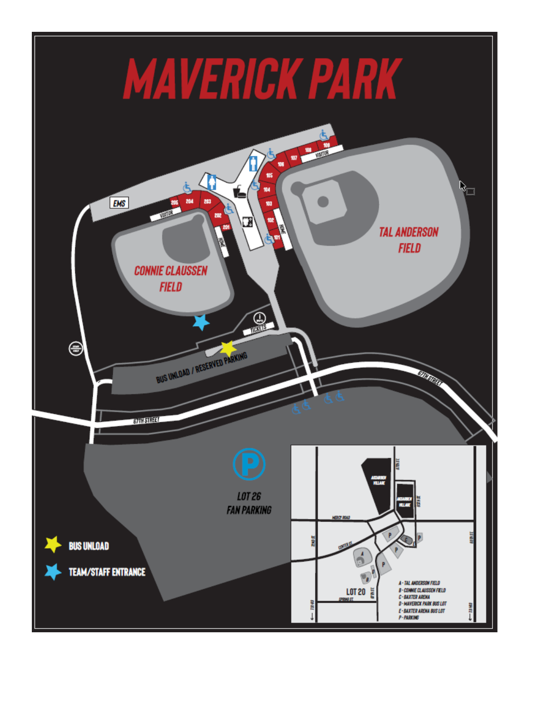